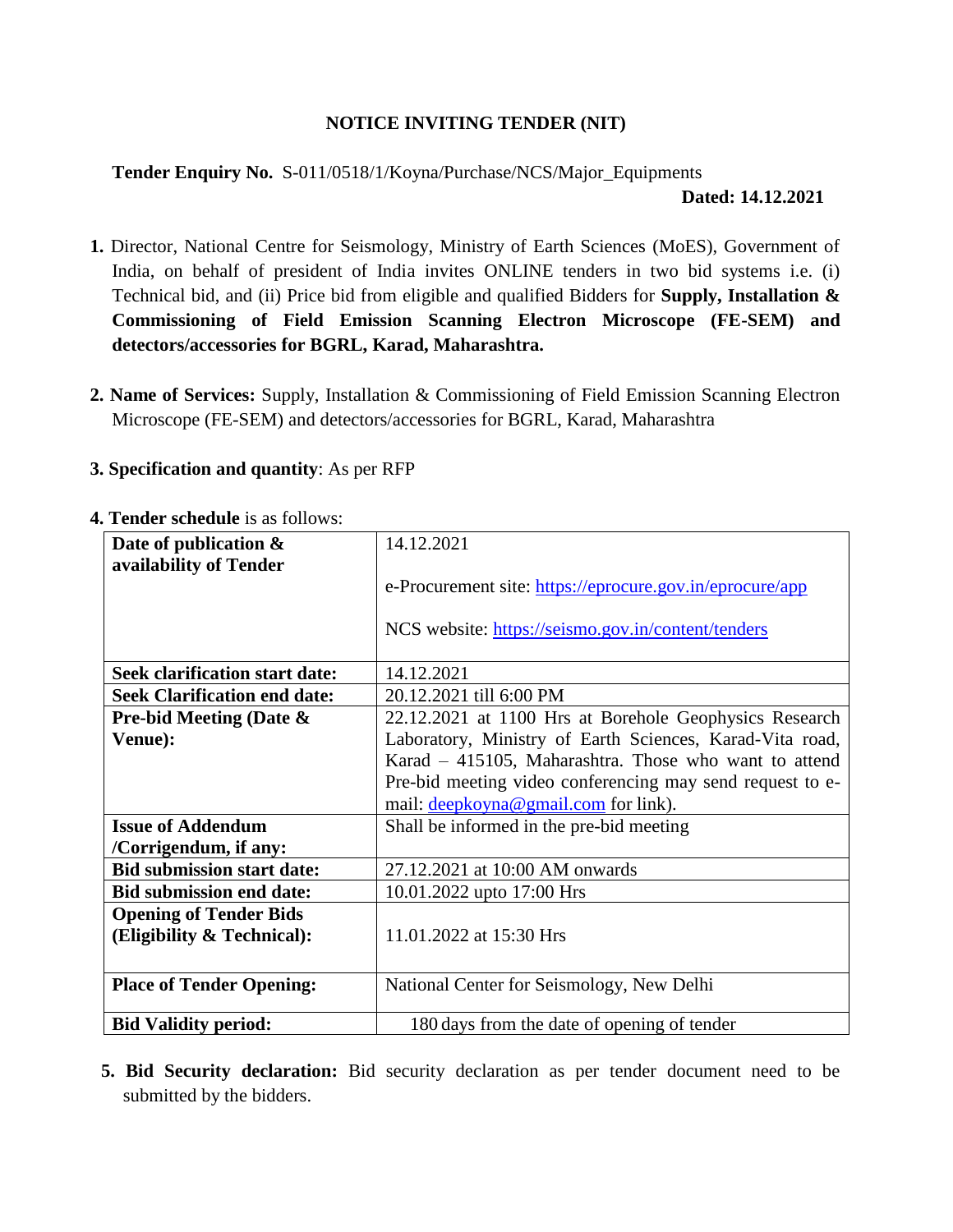## **NOTICE INVITING TENDER (NIT)**

# **Tender Enquiry No.** S-011/0518/1/Koyna/Purchase/NCS/Major\_Equipments

#### **Dated: 14.12.2021**

- **1.** Director, National Centre for Seismology, Ministry of Earth Sciences (MoES), Government of India, on behalf of president of India invites ONLINE tenders in two bid systems i.e. (i) Technical bid, and (ii) Price bid from eligible and qualified Bidders for **Supply, Installation & Commissioning of Field Emission Scanning Electron Microscope (FE-SEM) and detectors/accessories for BGRL, Karad, Maharashtra.**
- **2. Name of Services:** Supply, Installation & Commissioning of Field Emission Scanning Electron Microscope (FE-SEM) and detectors/accessories for BGRL, Karad, Maharashtra

### **3. Specification and quantity**: As per RFP

| Date of publication $\&$<br>availability of Tender | 14.12.2021                                                |
|----------------------------------------------------|-----------------------------------------------------------|
|                                                    | e-Procurement site: https://eprocure.gov.in/eprocure/app  |
|                                                    | NCS website: https://seismo.gov.in/content/tenders        |
| <b>Seek clarification start date:</b>              | 14.12.2021                                                |
| <b>Seek Clarification end date:</b>                | 20.12.2021 till 6:00 PM                                   |
| <b>Pre-bid Meeting (Date &amp;</b>                 | 22.12.2021 at 1100 Hrs at Borehole Geophysics Research    |
| Venue):                                            | Laboratory, Ministry of Earth Sciences, Karad-Vita road,  |
|                                                    | Karad - 415105, Maharashtra. Those who want to attend     |
|                                                    | Pre-bid meeting video conferencing may send request to e- |
|                                                    | mail: deepkoyna@gmail.com for link).                      |
| <b>Issue of Addendum</b>                           | Shall be informed in the pre-bid meeting                  |
| /Corrigendum, if any:                              |                                                           |
| <b>Bid submission start date:</b>                  | 27.12.2021 at 10:00 AM onwards                            |
| <b>Bid submission end date:</b>                    | 10.01.2022 upto 17:00 Hrs                                 |
| <b>Opening of Tender Bids</b>                      |                                                           |
| (Eligibility & Technical):                         | 11.01.2022 at 15:30 Hrs                                   |
|                                                    |                                                           |
| <b>Place of Tender Opening:</b>                    | National Center for Seismology, New Delhi                 |
| <b>Bid Validity period:</b>                        | 180 days from the date of opening of tender               |

#### **4. Tender schedule** is as follows:

**5. Bid Security declaration:** Bid security declaration as per tender document need to be submitted by the bidders.